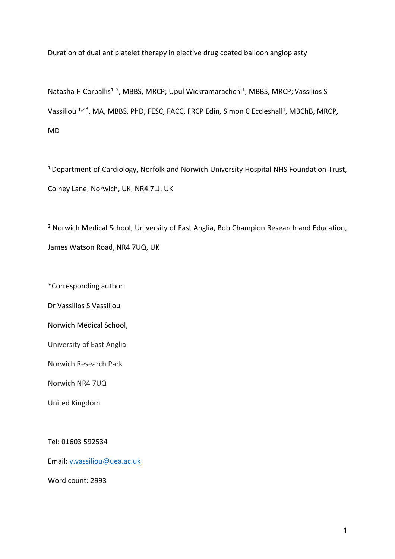Duration of dual antiplatelet therapy in elective drug coated balloon angioplasty

Natasha H Corballis<sup>1, 2</sup>, MBBS, MRCP; Upul Wickramarachchi<sup>1</sup>, MBBS, MRCP; Vassilios S Vassiliou <sup>1,2</sup> \*, MA, MBBS, PhD, FESC, FACC, FRCP Edin, Simon C Eccleshall<sup>1</sup>, MBChB, MRCP, MD

<sup>1</sup> Department of Cardiology, Norfolk and Norwich University Hospital NHS Foundation Trust, Colney Lane, Norwich, UK, NR4 7LJ, UK

<sup>2</sup> Norwich Medical School, University of East Anglia, Bob Champion Research and Education, James Watson Road, NR4 7UQ, UK

\*Corresponding author:

Dr Vassilios S Vassiliou

Norwich Medical School,

University of East Anglia

Norwich Research Park

Norwich NR4 7UQ

United Kingdom

Tel: 01603 592534

Email: [v.vassiliou@uea.ac.uk](mailto:v.vassiliou@uea.ac.uk)

Word count: 2993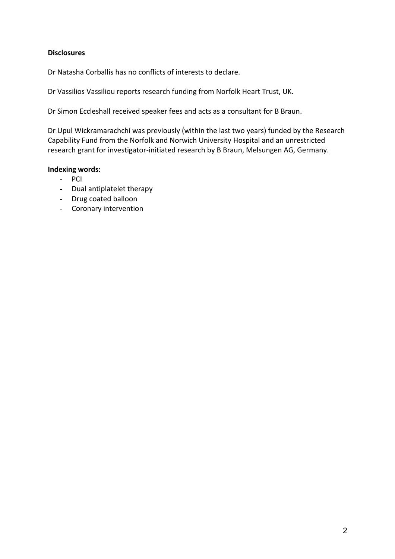# **Disclosures**

Dr Natasha Corballis has no conflicts of interests to declare.

Dr Vassilios Vassiliou reports research funding from Norfolk Heart Trust, UK.

Dr Simon Eccleshall received speaker fees and acts as a consultant for B Braun.

Dr Upul Wickramarachchi was previously (within the last two years) funded by the Research Capability Fund from the Norfolk and Norwich University Hospital and an unrestricted research grant for investigator-initiated research by B Braun, Melsungen AG, Germany.

## **Indexing words:**

- PCI
- Dual antiplatelet therapy
- Drug coated balloon
- Coronary intervention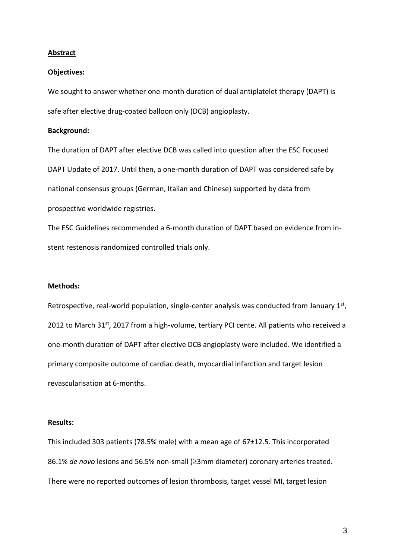### **Abstract**

### **Objectives:**

We sought to answer whether one-month duration of dual antiplatelet therapy (DAPT) is safe after elective drug-coated balloon only (DCB) angioplasty.

### **Background:**

The duration of DAPT after elective DCB was called into question after the ESC Focused DAPT Update of 2017. Until then, a one-month duration of DAPT was considered safe by national consensus groups (German, Italian and Chinese) supported by data from prospective worldwide registries.

The ESC Guidelines recommended a 6-month duration of DAPT based on evidence from instent restenosis randomized controlled trials only.

### **Methods:**

Retrospective, real-world population, single-center analysis was conducted from January  $1<sup>st</sup>$ , 2012 to March 31<sup>st</sup>, 2017 from a high-volume, tertiary PCI cente. All patients who received a one-month duration of DAPT after elective DCB angioplasty were included. We identified a primary composite outcome of cardiac death, myocardial infarction and target lesion revascularisation at 6-months.

#### **Results:**

This included 303 patients (78.5% male) with a mean age of 67±12.5. This incorporated 86.1% *de novo* lesions and 56.5% non-small ( $\geq$ 3mm diameter) coronary arteries treated. There were no reported outcomes of lesion thrombosis, target vessel MI, target lesion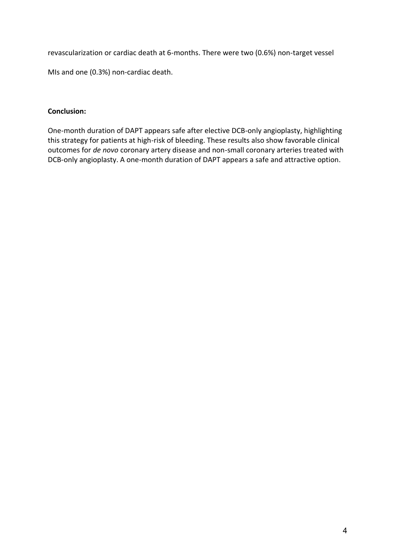revascularization or cardiac death at 6-months. There were two (0.6%) non-target vessel

MIs and one (0.3%) non-cardiac death.

# **Conclusion:**

One-month duration of DAPT appears safe after elective DCB-only angioplasty, highlighting this strategy for patients at high-risk of bleeding. These results also show favorable clinical outcomes for *de novo* coronary artery disease and non-small coronary arteries treated with DCB-only angioplasty. A one-month duration of DAPT appears a safe and attractive option.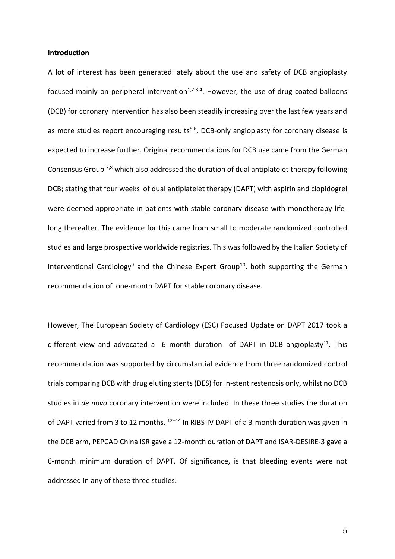### **Introduction**

A lot of interest has been generated lately about the use and safety of DCB angioplasty focused mainly on peripheral intervention $1,2,3,4$ . However, the use of drug coated balloons (DCB) for coronary intervention has also been steadily increasing over the last few years and as more studies report encouraging results<sup>5,6</sup>, DCB-only angioplasty for coronary disease is expected to increase further. Original recommendations for DCB use came from the German Consensus Group 7,8 which also addressed the duration of dual antiplatelet therapy following DCB; stating that four weeks of dual antiplatelet therapy (DAPT) with aspirin and clopidogrel were deemed appropriate in patients with stable coronary disease with monotherapy lifelong thereafter. The evidence for this came from small to moderate randomized controlled studies and large prospective worldwide registries. This was followed by the Italian Society of Interventional Cardiology<sup>9</sup> and the Chinese Expert Group<sup>10</sup>, both supporting the German recommendation of one-month DAPT for stable coronary disease.

However, The European Society of Cardiology (ESC) Focused Update on DAPT 2017 took a different view and advocated a 6 month duration of DAPT in DCB angioplasty<sup>11</sup>. This recommendation was supported by circumstantial evidence from three randomized control trials comparing DCB with drug eluting stents (DES) for in-stent restenosis only, whilst no DCB studies in *de novo* coronary intervention were included. In these three studies the duration of DAPT varied from 3 to 12 months.  $^{12-14}$  In RIBS-IV DAPT of a 3-month duration was given in the DCB arm, PEPCAD China ISR gave a 12-month duration of DAPT and ISAR-DESIRE-3 gave a 6-month minimum duration of DAPT. Of significance, is that bleeding events were not addressed in any of these three studies.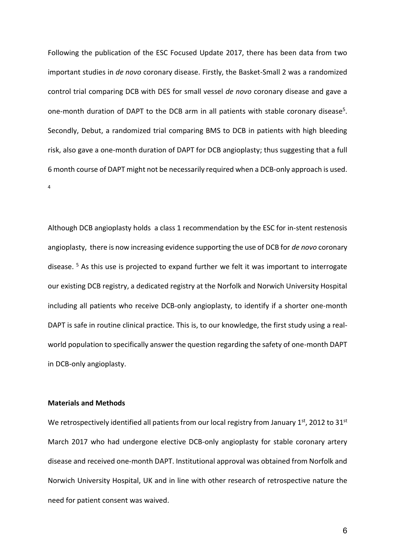Following the publication of the ESC Focused Update 2017, there has been data from two important studies in *de novo* coronary disease. Firstly, the Basket-Small 2 was a randomized control trial comparing DCB with DES for small vessel *de novo* coronary disease and gave a one-month duration of DAPT to the DCB arm in all patients with stable coronary disease<sup>5</sup>. Secondly, Debut, a randomized trial comparing BMS to DCB in patients with high bleeding risk, also gave a one-month duration of DAPT for DCB angioplasty; thus suggesting that a full 6 month course of DAPT might not be necessarily required when a DCB-only approach is used. 4

Although DCB angioplasty holds a class 1 recommendation by the ESC for in-stent restenosis angioplasty, there is now increasing evidence supporting the use of DCB for *de novo* coronary disease. <sup>5</sup> As this use is projected to expand further we felt it was important to interrogate our existing DCB registry, a dedicated registry at the Norfolk and Norwich University Hospital including all patients who receive DCB-only angioplasty, to identify if a shorter one-month DAPT is safe in routine clinical practice. This is, to our knowledge, the first study using a realworld population to specifically answer the question regarding the safety of one-month DAPT in DCB-only angioplasty.

## **Materials and Methods**

We retrospectively identified all patients from our local registry from January 1st, 2012 to 31st March 2017 who had undergone elective DCB-only angioplasty for stable coronary artery disease and received one-month DAPT. Institutional approval was obtained from Norfolk and Norwich University Hospital, UK and in line with other research of retrospective nature the need for patient consent was waived.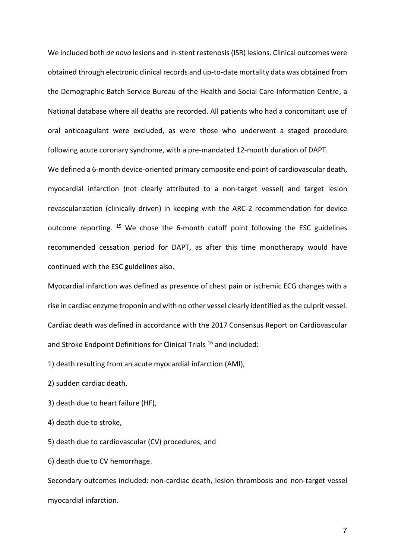We included both *de novo* lesions and in-stent restenosis (ISR) lesions. Clinical outcomes were obtained through electronic clinical records and up-to-date mortality data was obtained from the Demographic Batch Service Bureau of the Health and Social Care Information Centre, a National database where all deaths are recorded. All patients who had a concomitant use of oral anticoagulant were excluded, as were those who underwent a staged procedure following acute coronary syndrome, with a pre-mandated 12-month duration of DAPT.

We defined a 6-month device-oriented primary composite end-point of cardiovascular death, myocardial infarction (not clearly attributed to a non-target vessel) and target lesion revascularization (clinically driven) in keeping with the ARC-2 recommendation for device outcome reporting. <sup>15</sup> We chose the 6-month cutoff point following the ESC guidelines recommended cessation period for DAPT, as after this time monotherapy would have continued with the ESC guidelines also.

Myocardial infarction was defined as presence of chest pain or ischemic ECG changes with a rise in cardiac enzyme troponin and with no other vessel clearly identified as the culprit vessel. Cardiac death was defined in accordance with the 2017 Consensus Report on Cardiovascular and Stroke Endpoint Definitions for Clinical Trials<sup>16</sup> and included:

1) death resulting from an acute myocardial infarction (AMI),

2) sudden cardiac death,

- 3) death due to heart failure (HF),
- 4) death due to stroke,

5) death due to cardiovascular (CV) procedures, and

6) death due to CV hemorrhage.

Secondary outcomes included: non-cardiac death, lesion thrombosis and non-target vessel myocardial infarction.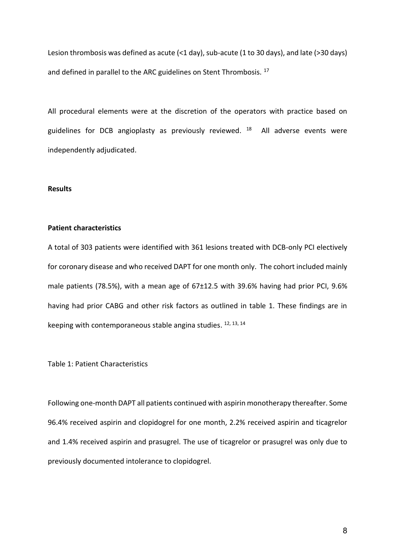Lesion thrombosis was defined as acute (<1 day), sub-acute (1 to 30 days), and late (>30 days) and defined in parallel to the ARC guidelines on Stent Thrombosis.<sup>17</sup>

All procedural elements were at the discretion of the operators with practice based on guidelines for DCB angioplasty as previously reviewed. <sup>18</sup> All adverse events were independently adjudicated.

### **Results**

### **Patient characteristics**

A total of 303 patients were identified with 361 lesions treated with DCB-only PCI electively for coronary disease and who received DAPT for one month only. The cohort included mainly male patients (78.5%), with a mean age of 67±12.5 with 39.6% having had prior PCI, 9.6% having had prior CABG and other risk factors as outlined in table 1. These findings are in keeping with contemporaneous stable angina studies. <sup>12, 13, 14</sup>

Table 1: Patient Characteristics

Following one-month DAPT all patients continued with aspirin monotherapy thereafter. Some 96.4% received aspirin and clopidogrel for one month, 2.2% received aspirin and ticagrelor and 1.4% received aspirin and prasugrel. The use of ticagrelor or prasugrel was only due to previously documented intolerance to clopidogrel.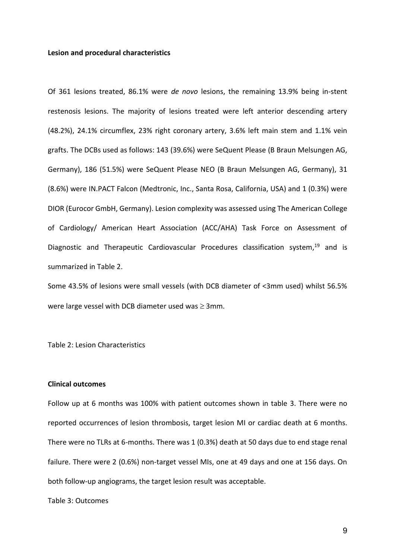### **Lesion and procedural characteristics**

Of 361 lesions treated, 86.1% were *de novo* lesions, the remaining 13.9% being in-stent restenosis lesions. The majority of lesions treated were left anterior descending artery (48.2%), 24.1% circumflex, 23% right coronary artery, 3.6% left main stem and 1.1% vein grafts. The DCBs used as follows: 143 (39.6%) were SeQuent Please (B Braun Melsungen AG, Germany), 186 (51.5%) were SeQuent Please NEO (B Braun Melsungen AG, Germany), 31 (8.6%) were IN.PACT Falcon (Medtronic, Inc., Santa Rosa, California, USA) and 1 (0.3%) were DIOR (Eurocor GmbH, Germany). Lesion complexity was assessed using The American College of Cardiology/ American Heart Association (ACC/AHA) Task Force on Assessment of Diagnostic and Therapeutic Cardiovascular Procedures classification system,<sup>19</sup> and is summarized in Table 2.

Some 43.5% of lesions were small vessels (with DCB diameter of <3mm used) whilst 56.5% were large vessel with DCB diameter used was  $\geq$  3mm.

Table 2: Lesion Characteristics

### **Clinical outcomes**

Follow up at 6 months was 100% with patient outcomes shown in table 3. There were no reported occurrences of lesion thrombosis, target lesion MI or cardiac death at 6 months. There were no TLRs at 6-months. There was 1 (0.3%) death at 50 days due to end stage renal failure. There were 2 (0.6%) non-target vessel MIs, one at 49 days and one at 156 days. On both follow-up angiograms, the target lesion result was acceptable.

Table 3: Outcomes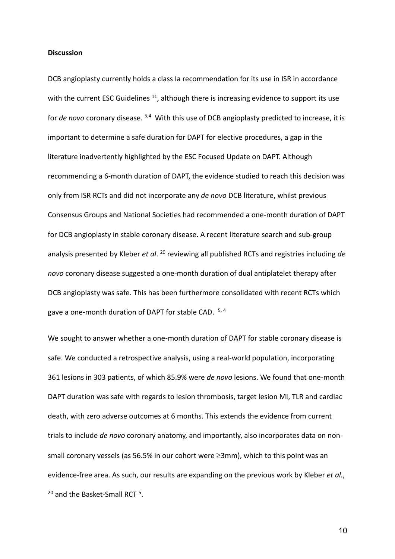### **Discussion**

DCB angioplasty currently holds a class Ia recommendation for its use in ISR in accordance with the current ESC Guidelines  $11$ , although there is increasing evidence to support its use for *de novo* coronary disease. <sup>5,4</sup> With this use of DCB angioplasty predicted to increase, it is important to determine a safe duration for DAPT for elective procedures, a gap in the literature inadvertently highlighted by the ESC Focused Update on DAPT. Although recommending a 6-month duration of DAPT, the evidence studied to reach this decision was only from ISR RCTs and did not incorporate any *de novo* DCB literature, whilst previous Consensus Groups and National Societies had recommended a one-month duration of DAPT for DCB angioplasty in stable coronary disease. A recent literature search and sub-group analysis presented by Kleber *et al*. <sup>20</sup> reviewing all published RCTs and registries including *de novo* coronary disease suggested a one-month duration of dual antiplatelet therapy after DCB angioplasty was safe. This has been furthermore consolidated with recent RCTs which gave a one-month duration of DAPT for stable CAD. 5, 4

We sought to answer whether a one-month duration of DAPT for stable coronary disease is safe. We conducted a retrospective analysis, using a real-world population, incorporating 361 lesions in 303 patients, of which 85.9% were *de novo* lesions. We found that one-month DAPT duration was safe with regards to lesion thrombosis, target lesion MI, TLR and cardiac death, with zero adverse outcomes at 6 months. This extends the evidence from current trials to include *de novo* coronary anatomy, and importantly, also incorporates data on nonsmall coronary vessels (as 56.5% in our cohort were  $\geq 3$ mm), which to this point was an evidence-free area. As such, our results are expanding on the previous work by Kleber *et al.*, <sup>20</sup> and the Basket-Small RCT <sup>5</sup>.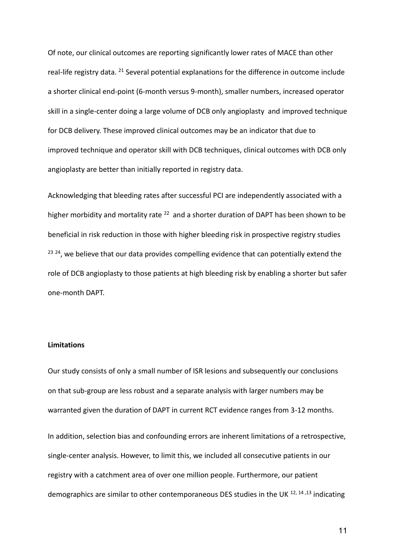Of note, our clinical outcomes are reporting significantly lower rates of MACE than other real-life registry data. <sup>21</sup> Several potential explanations for the difference in outcome include a shorter clinical end-point (6-month versus 9-month), smaller numbers, increased operator skill in a single-center doing a large volume of DCB only angioplasty and improved technique for DCB delivery. These improved clinical outcomes may be an indicator that due to improved technique and operator skill with DCB techniques, clinical outcomes with DCB only angioplasty are better than initially reported in registry data.

Acknowledging that bleeding rates after successful PCI are independently associated with a higher morbidity and mortality rate <sup>22</sup> and a shorter duration of DAPT has been shown to be beneficial in risk reduction in those with higher bleeding risk in prospective registry studies <sup>23 24</sup>, we believe that our data provides compelling evidence that can potentially extend the role of DCB angioplasty to those patients at high bleeding risk by enabling a shorter but safer one-month DAPT.

### **Limitations**

Our study consists of only a small number of ISR lesions and subsequently our conclusions on that sub-group are less robust and a separate analysis with larger numbers may be warranted given the duration of DAPT in current RCT evidence ranges from 3-12 months.

In addition, selection bias and confounding errors are inherent limitations of a retrospective, single-center analysis. However, to limit this, we included all consecutive patients in our registry with a catchment area of over one million people. Furthermore, our patient demographics are similar to other contemporaneous DES studies in the UK <sup>12, 14, 13</sup> indicating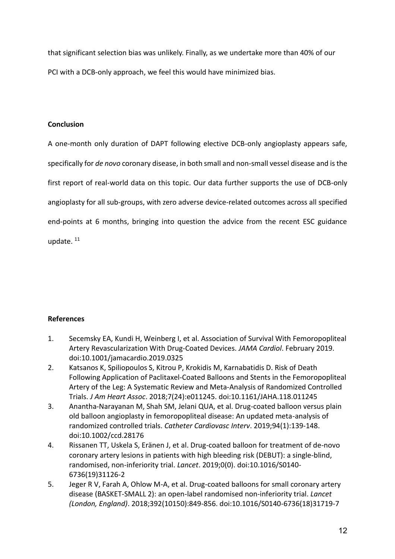that significant selection bias was unlikely. Finally, as we undertake more than 40% of our PCI with a DCB-only approach, we feel this would have minimized bias.

# **Conclusion**

A one-month only duration of DAPT following elective DCB-only angioplasty appears safe, specifically for *de novo* coronary disease, in both small and non-small vessel disease and is the first report of real-world data on this topic. Our data further supports the use of DCB-only angioplasty for all sub-groups, with zero adverse device-related outcomes across all specified end-points at 6 months, bringing into question the advice from the recent ESC guidance update. 11

# **References**

- 1. Secemsky EA, Kundi H, Weinberg I, et al. Association of Survival With Femoropopliteal Artery Revascularization With Drug-Coated Devices. *JAMA Cardiol*. February 2019. doi:10.1001/jamacardio.2019.0325
- 2. Katsanos K, Spiliopoulos S, Kitrou P, Krokidis M, Karnabatidis D. Risk of Death Following Application of Paclitaxel-Coated Balloons and Stents in the Femoropopliteal Artery of the Leg: A Systematic Review and Meta-Analysis of Randomized Controlled Trials. *J Am Heart Assoc*. 2018;7(24):e011245. doi:10.1161/JAHA.118.011245
- 3. Anantha-Narayanan M, Shah SM, Jelani QUA, et al. Drug-coated balloon versus plain old balloon angioplasty in femoropopliteal disease: An updated meta-analysis of randomized controlled trials. *Catheter Cardiovasc Interv*. 2019;94(1):139-148. doi:10.1002/ccd.28176
- 4. Rissanen TT, Uskela S, Eränen J, et al. Drug-coated balloon for treatment of de-novo coronary artery lesions in patients with high bleeding risk (DEBUT): a single-blind, randomised, non-inferiority trial. *Lancet*. 2019;0(0). doi:10.1016/S0140- 6736(19)31126-2
- 5. Jeger R V, Farah A, Ohlow M-A, et al. Drug-coated balloons for small coronary artery disease (BASKET-SMALL 2): an open-label randomised non-inferiority trial. *Lancet (London, England)*. 2018;392(10150):849-856. doi:10.1016/S0140-6736(18)31719-7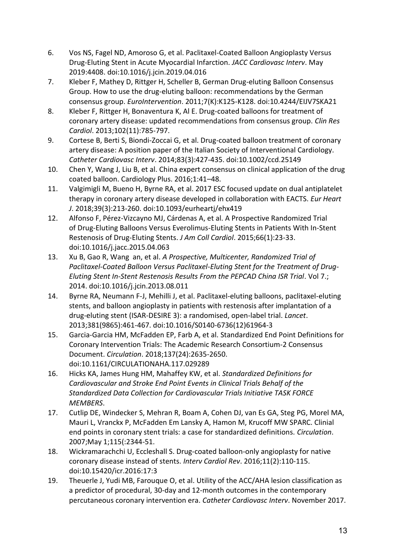- 6. Vos NS, Fagel ND, Amoroso G, et al. Paclitaxel-Coated Balloon Angioplasty Versus Drug-Eluting Stent in Acute Myocardial Infarction. *JACC Cardiovasc Interv*. May 2019:4408. doi:10.1016/j.jcin.2019.04.016
- 7. Kleber F, Mathey D, Rittger H, Scheller B, German Drug-eluting Balloon Consensus Group. How to use the drug-eluting balloon: recommendations by the German consensus group. *EuroIntervention*. 2011;7(K):K125-K128. doi:10.4244/EIJV7SKA21
- 8. Kleber F, Rittger H, Bonaventura K, Al E. Drug-coated balloons for treatment of coronary artery disease: updated recommendations from consensus group. *Clin Res Cardiol*. 2013;102(11):785-797.
- 9. Cortese B, Berti S, Biondi-Zoccai G, et al. Drug-coated balloon treatment of coronary artery disease: A position paper of the Italian Society of Interventional Cardiology. *Catheter Cardiovasc Interv*. 2014;83(3):427-435. doi:10.1002/ccd.25149
- 10. Chen Y, Wang J, Liu B, et al. China expert consensus on clinical application of the drug coated balloon. Cardiology Plus. 2016;1:41–48.
- 11. Valgimigli M, Bueno H, Byrne RA, et al. 2017 ESC focused update on dual antiplatelet therapy in coronary artery disease developed in collaboration with EACTS. *Eur Heart J*. 2018;39(3):213-260. doi:10.1093/eurheartj/ehx419
- 12. Alfonso F, Pérez-Vizcayno MJ, Cárdenas A, et al. A Prospective Randomized Trial of Drug-Eluting Balloons Versus Everolimus-Eluting Stents in Patients With In-Stent Restenosis of Drug-Eluting Stents. *J Am Coll Cardiol*. 2015;66(1):23-33. doi:10.1016/j.jacc.2015.04.063
- 13. Xu B, Gao R, Wang an, et al. *A Prospective, Multicenter, Randomized Trial of Paclitaxel-Coated Balloon Versus Paclitaxel-Eluting Stent for the Treatment of Drug-Eluting Stent In-Stent Restenosis Results From the PEPCAD China ISR Trial*. Vol 7.; 2014. doi:10.1016/j.jcin.2013.08.011
- 14. Byrne RA, Neumann F-J, Mehilli J, et al. Paclitaxel-eluting balloons, paclitaxel-eluting stents, and balloon angioplasty in patients with restenosis after implantation of a drug-eluting stent (ISAR-DESIRE 3): a randomised, open-label trial. *Lancet*. 2013;381(9865):461-467. doi:10.1016/S0140-6736(12)61964-3
- 15. Garcia-Garcia HM, McFadden EP, Farb A, et al. Standardized End Point Definitions for Coronary Intervention Trials: The Academic Research Consortium-2 Consensus Document. *Circulation*. 2018;137(24):2635-2650. doi:10.1161/CIRCULATIONAHA.117.029289
- 16. Hicks KA, James Hung HM, Mahaffey KW, et al. *Standardized Definitions for Cardiovascular and Stroke End Point Events in Clinical Trials Behalf of the Standardized Data Collection for Cardiovascular Trials Initiative TASK FORCE MEMBERS*.
- 17. Cutlip DE, Windecker S, Mehran R, Boam A, Cohen DJ, van Es GA, Steg PG, Morel MA, Mauri L, Vranckx P, McFadden Em Lansky A, Hamon M, Krucoff MW SPARC. Clinial end points in coronary stent trials: a case for standardized definitions. *Circulation*. 2007;May 1;115(:2344-51.
- 18. Wickramarachchi U, Eccleshall S. Drug-coated balloon-only angioplasty for native coronary disease instead of stents. *Interv Cardiol Rev*. 2016;11(2):110-115. doi:10.15420/icr.2016:17:3
- 19. Theuerle J, Yudi MB, Farouque O, et al. Utility of the ACC/AHA lesion classification as a predictor of procedural, 30-day and 12-month outcomes in the contemporary percutaneous coronary intervention era. *Catheter Cardiovasc Interv*. November 2017.